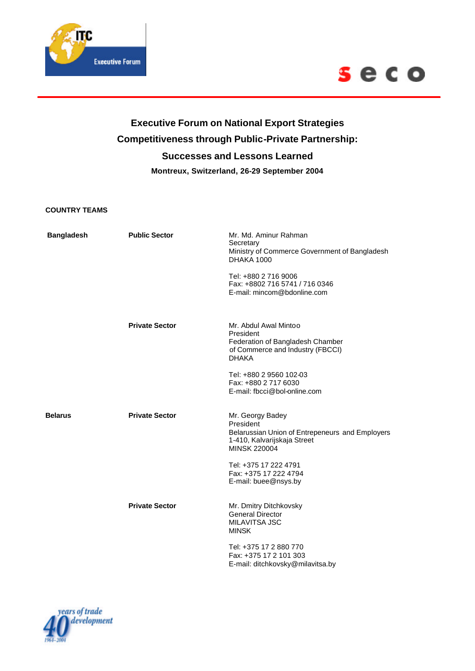



## **Executive Forum on National Export Strategies Competitiveness through Public-Private Partnership: Successes and Lessons Learned Montreux, Switzerland, 26-29 September 2004**

## **COUNTRY TEAMS**

| <b>Bangladesh</b> | <b>Public Sector</b>  | Mr. Md. Aminur Rahman<br>Secretary<br>Ministry of Commerce Government of Bangladesh<br><b>DHAKA 1000</b><br>Tel: +880 2 716 9006<br>Fax: +8802 716 5741 / 716 0346<br>E-mail: mincom@bdonline.com                |
|-------------------|-----------------------|------------------------------------------------------------------------------------------------------------------------------------------------------------------------------------------------------------------|
|                   | <b>Private Sector</b> | Mr. Abdul Awal Mintoo<br>President<br>Federation of Bangladesh Chamber<br>of Commerce and Industry (FBCCI)<br><b>DHAKA</b><br>Tel: +880 2 9560 102-03<br>Fax: +880 2 717 6030<br>E-mail: fbcci@bol-online.com    |
| <b>Belarus</b>    | <b>Private Sector</b> | Mr. Georgy Badey<br>President<br>Belarussian Union of Entrepeneurs and Employers<br>1-410, Kalvarijskaja Street<br><b>MINSK 220004</b><br>Tel: +375 17 222 4791<br>Fax: +375 17 222 4794<br>E-mail: buee@nsys.by |
|                   | <b>Private Sector</b> | Mr. Dmitry Ditchkovsky<br><b>General Director</b><br><b>MILAVITSA JSC</b><br><b>MINSK</b><br>Tel: +375 17 2 880 770<br>Fax: +375 17 2 101 303<br>E-mail: ditchkovsky@milavitsa.by                                |

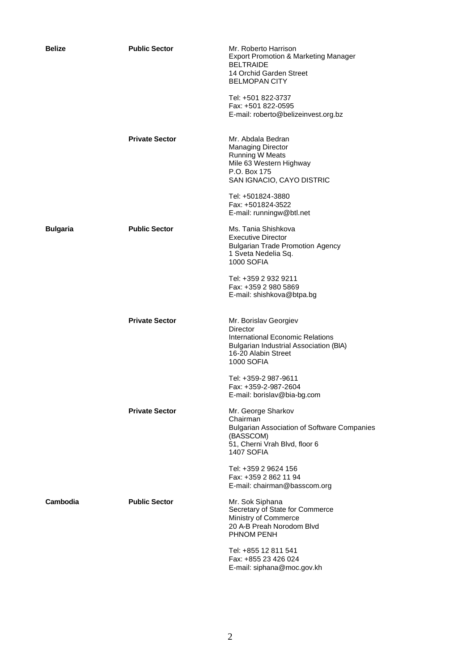| <b>Belize</b>   | <b>Public Sector</b>  | Mr. Roberto Harrison<br><b>Export Promotion &amp; Marketing Manager</b><br><b>BELTRAIDE</b><br>14 Orchid Garden Street<br><b>BELMOPAN CITY</b><br>Tel: +501 822-3737<br>Fax: +501 822-0595<br>E-mail: roberto@belizeinvest.org.bz |
|-----------------|-----------------------|-----------------------------------------------------------------------------------------------------------------------------------------------------------------------------------------------------------------------------------|
|                 | <b>Private Sector</b> | Mr. Abdala Bedran<br><b>Managing Director</b><br>Running W Meats<br>Mile 63 Western Highway<br>P.O. Box 175<br>SAN IGNACIO, CAYO DISTRIC                                                                                          |
|                 |                       | Tel: +501824-3880<br>Fax: +501824-3522<br>E-mail: runningw@btl.net                                                                                                                                                                |
| <b>Bulgaria</b> | <b>Public Sector</b>  | Ms. Tania Shishkova<br><b>Executive Director</b><br><b>Bulgarian Trade Promotion Agency</b><br>1 Sveta Nedelia Sq.<br><b>1000 SOFIA</b>                                                                                           |
|                 |                       | Tel: +359 2 932 9211<br>Fax: +359 2 980 5869<br>E-mail: shishkova@btpa.bg                                                                                                                                                         |
|                 | <b>Private Sector</b> | Mr. Borislav Georgiev<br>Director<br>International Economic Relations<br><b>Bulgarian Industrial Association (BIA)</b><br>16-20 Alabin Street<br><b>1000 SOFIA</b>                                                                |
|                 |                       | Tel: +359-2 987-9611<br>Fax: +359-2-987-2604<br>E-mail: borislav@bia-bg.com                                                                                                                                                       |
|                 | <b>Private Sector</b> | Mr. George Sharkov<br>Chairman<br><b>Bulgarian Association of Software Companies</b><br>(BASSCOM)<br>51, Cherni Vrah Blvd, floor 6<br>1407 SOFIA                                                                                  |
|                 |                       | Tel: +359 2 9624 156<br>Fax: +359 2 862 11 94<br>E-mail: chairman@basscom.org                                                                                                                                                     |
| Cambodia        | <b>Public Sector</b>  | Mr. Sok Siphana<br>Secretary of State for Commerce<br>Ministry of Commerce<br>20 A-B Preah Norodom Blvd<br>PHNOM PENH                                                                                                             |
|                 |                       | Tel: +855 12 811 541<br>Fax: +855 23 426 024<br>E-mail: siphana@moc.gov.kh                                                                                                                                                        |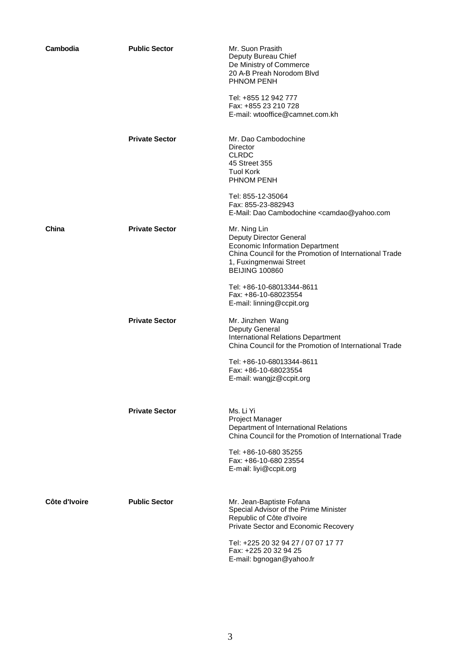| Cambodia      | <b>Public Sector</b>  | Mr. Suon Prasith<br>Deputy Bureau Chief<br>De Ministry of Commerce<br>20 A-B Preah Norodom Blvd<br>PHNOM PENH<br>Tel: +855 12 942 777<br>Fax: +855 23 210 728<br>E-mail: wtooffice@camnet.com.kh                           |
|---------------|-----------------------|----------------------------------------------------------------------------------------------------------------------------------------------------------------------------------------------------------------------------|
|               | <b>Private Sector</b> | Mr. Dao Cambodochine<br>Director<br><b>CLRDC</b><br>45 Street 355<br><b>Tuol Kork</b><br><b>PHNOM PENH</b>                                                                                                                 |
|               |                       | Tel: 855-12-35064<br>Fax: 855-23-882943<br>E-Mail: Dao Cambodochine <camdao@yahoo.com< td=""></camdao@yahoo.com<>                                                                                                          |
| China         | <b>Private Sector</b> | Mr. Ning Lin<br>Deputy Director General<br><b>Economic Information Department</b><br>China Council for the Promotion of International Trade<br>1, Fuxingmenwai Street<br><b>BEIJING 100860</b>                             |
|               |                       | Tel: +86-10-68013344-8611<br>Fax: +86-10-68023554<br>E-mail: linning@ccpit.org                                                                                                                                             |
|               | <b>Private Sector</b> | Mr. Jinzhen Wang<br>Deputy General<br><b>International Relations Department</b><br>China Council for the Promotion of International Trade<br>Tel: +86-10-68013344-8611<br>Fax: +86-10-68023554<br>E-mail: wangjz@ccpit.org |
|               | <b>Private Sector</b> | Ms. Li Yi<br>Project Manager<br>Department of International Relations<br>China Council for the Promotion of International Trade<br>Tel: +86-10-680 35255<br>Fax: +86-10-680 23554                                          |
|               |                       | E-mail: liyi@ccpit.org                                                                                                                                                                                                     |
| Côte d'Ivoire | <b>Public Sector</b>  | Mr. Jean-Baptiste Fofana<br>Special Advisor of the Prime Minister<br>Republic of Côte d'Ivoire<br>Private Sector and Economic Recovery                                                                                     |
|               |                       | Tel: +225 20 32 94 27 / 07 07 17 77<br>Fax: +225 20 32 94 25<br>E-mail: bgnogan@yahoo.fr                                                                                                                                   |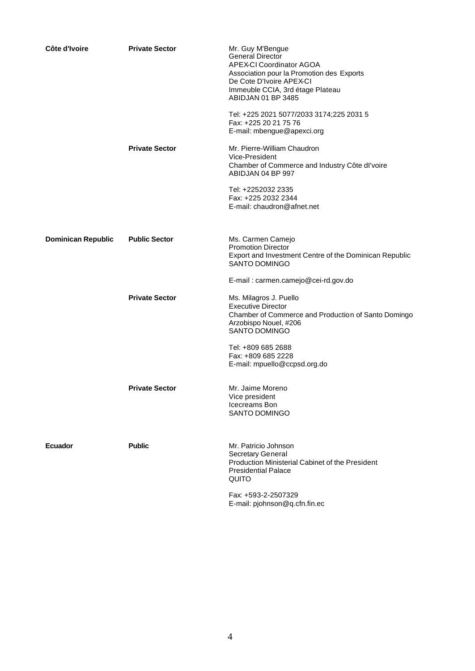| Côte d'Ivoire             | <b>Private Sector</b> | Mr. Guy M'Bengue<br><b>General Director</b><br><b>APEX-CI Coordinator AGOA</b><br>Association pour la Promotion des Exports<br>De Cote D'Ivoire APEX-CI<br>Immeuble CCIA, 3rd étage Plateau<br>ABIDJAN 01 BP 3485 |
|---------------------------|-----------------------|-------------------------------------------------------------------------------------------------------------------------------------------------------------------------------------------------------------------|
|                           |                       | Tel: +225 2021 5077/2033 3174;225 2031 5<br>Fax: +225 20 21 75 76<br>E-mail: mbengue@apexci.org                                                                                                                   |
|                           | <b>Private Sector</b> | Mr. Pierre-William Chaudron<br>Vice-President<br>Chamber of Commerce and Industry Côte dl'voire<br>ABIDJAN 04 BP 997                                                                                              |
|                           |                       | Tel: +2252032 2335<br>Fax: +225 2032 2344<br>E-mail: chaudron@afnet.net                                                                                                                                           |
| <b>Dominican Republic</b> | <b>Public Sector</b>  | Ms. Carmen Camejo<br><b>Promotion Director</b><br>Export and Investment Centre of the Dominican Republic<br>SANTO DOMINGO                                                                                         |
|                           |                       | E-mail: carmen.camejo@cei-rd.gov.do                                                                                                                                                                               |
|                           | <b>Private Sector</b> | Ms. Milagros J. Puello<br><b>Executive Director</b><br>Chamber of Commerce and Production of Santo Domingo<br>Arzobispo Nouel, #206<br><b>SANTO DOMINGO</b>                                                       |
|                           |                       | Tel: +809 685 2688<br>Fax: +809 685 2228<br>E-mail: mpuello@ccpsd.org.do                                                                                                                                          |
|                           | <b>Private Sector</b> | Mr. Jaime Moreno<br>Vice president<br>Icecreams Bon<br><b>SANTO DOMINGO</b>                                                                                                                                       |
| <b>Ecuador</b>            | <b>Public</b>         | Mr. Patricio Johnson<br>Secretary General<br>Production Ministerial Cabinet of the President<br><b>Presidential Palace</b><br>QUITO                                                                               |
|                           |                       | Fax: +593-2-2507329<br>E-mail: pjohnson@q.cfn.fin.ec                                                                                                                                                              |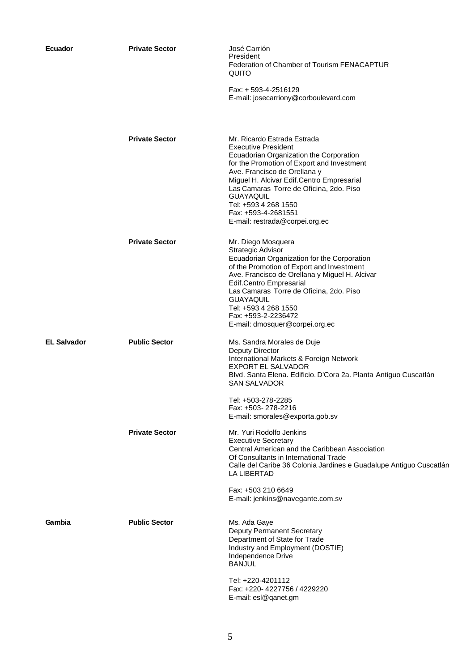| <b>Ecuador</b>     | <b>Private Sector</b> | José Carrión<br>President<br>Federation of Chamber of Tourism FENACAPTUR<br>QUITO<br>Fax: + 593-4-2516129<br>E-mail: josecarriony@corboulevard.com                                                                                                                                                                                                                              |
|--------------------|-----------------------|---------------------------------------------------------------------------------------------------------------------------------------------------------------------------------------------------------------------------------------------------------------------------------------------------------------------------------------------------------------------------------|
|                    | <b>Private Sector</b> | Mr. Ricardo Estrada Estrada<br><b>Executive President</b><br>Ecuadorian Organization the Corporation<br>for the Promotion of Export and Investment<br>Ave. Francisco de Orellana y<br>Miguel H. Alcivar Edif.Centro Empresarial<br>Las Camaras Torre de Oficina, 2do. Piso<br><b>GUAYAQUIL</b><br>Tel: +593 4 268 1550<br>Fax: +593-4-2681551<br>E-mail: restrada@corpei.org.ec |
|                    | <b>Private Sector</b> | Mr. Diego Mosquera<br>Strategic Advisor<br>Ecuadorian Organization for the Corporation<br>of the Promotion of Export and Investment<br>Ave. Francisco de Orellana y Miguel H. Alcivar<br>Edif.Centro Empresarial<br>Las Camaras Torre de Oficina, 2do. Piso<br><b>GUAYAQUIL</b><br>Tel: +593 4 268 1550<br>Fax: +593-2-2236472<br>E-mail: dmosquer@corpei.org.ec                |
| <b>EL Salvador</b> | <b>Public Sector</b>  | Ms. Sandra Morales de Duje<br>Deputy Director<br>International Markets & Foreign Network<br>EXPORT EL SALVADOR<br>Blvd. Santa Elena. Edificio. D'Cora 2a. Planta Antiguo Cuscatlán<br><b>SAN SALVADOR</b><br>Tel: +503-278-2285<br>Fax: +503-278-2216<br>E-mail: smorales@exporta.gob.sv                                                                                        |
|                    | <b>Private Sector</b> | Mr. Yuri Rodolfo Jenkins<br><b>Executive Secretary</b><br>Central American and the Caribbean Association<br>Of Consultants in International Trade<br>Calle del Caribe 36 Colonia Jardines e Guadalupe Antiguo Cuscatlán<br><b>LA LIBERTAD</b><br>Fax: +503 210 6649<br>E-mail: jenkins@navegante.com.sv                                                                         |
| Gambia             | <b>Public Sector</b>  | Ms. Ada Gaye<br><b>Deputy Permanent Secretary</b><br>Department of State for Trade<br>Industry and Employment (DOSTIE)<br>Independence Drive<br><b>BANJUL</b><br>Tel: +220-4201112<br>Fax: +220-4227756 / 4229220<br>E-mail: esl@qanet.gm                                                                                                                                       |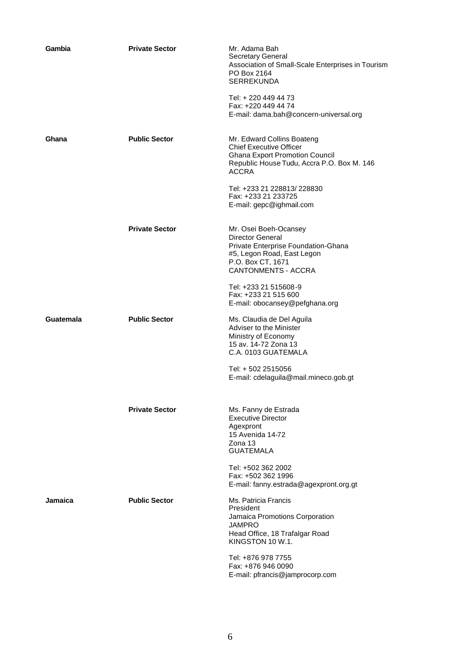| Gambia    | <b>Private Sector</b> | Mr. Adama Bah<br><b>Secretary General</b><br>Association of Small-Scale Enterprises in Tourism<br>PO Box 2164<br><b>SERREKUNDA</b><br>Tel: + 220 449 44 73<br>Fax: +220 449 44 74 |
|-----------|-----------------------|-----------------------------------------------------------------------------------------------------------------------------------------------------------------------------------|
|           |                       | E-mail: dama.bah@concern-universal.org                                                                                                                                            |
| Ghana     | <b>Public Sector</b>  | Mr. Edward Collins Boateng<br><b>Chief Executive Officer</b><br><b>Ghana Export Promotion Council</b><br>Republic House Tudu, Accra P.O. Box M. 146<br><b>ACCRA</b>               |
|           |                       | Tel: +233 21 228813/ 228830<br>Fax: +233 21 233725<br>E-mail: gepc@ighmail.com                                                                                                    |
|           | <b>Private Sector</b> | Mr. Osei Boeh-Ocansey<br><b>Director General</b><br>Private Enterprise Foundation-Ghana<br>#5, Legon Road, East Legon<br>P.O. Box CT, 1671<br><b>CANTONMENTS - ACCRA</b>          |
|           |                       | Tel: +233 21 515608-9<br>Fax: +233 21 515 600<br>E-mail: obocansey@pefghana.org                                                                                                   |
| Guatemala | <b>Public Sector</b>  | Ms. Claudia de Del Aguila<br>Adviser to the Minister<br>Ministry of Economy<br>15 av. 14-72 Zona 13<br>C.A. 0103 GUATEMALA                                                        |
|           |                       | Tel: + 502 2515056<br>E-mail: cdelaguila@mail.mineco.gob.gt                                                                                                                       |
|           | <b>Private Sector</b> | Ms. Fanny de Estrada<br><b>Executive Director</b><br>Agexpront<br>15 Avenida 14-72<br>$Z$ ona 13<br><b>GUATEMALA</b>                                                              |
|           |                       | Tel: +502 362 2002<br>Fax: +502 362 1996<br>E-mail: fanny.estrada@agexpront.org.gt                                                                                                |
| Jamaica   | <b>Public Sector</b>  | Ms. Patricia Francis<br>President<br>Jamaica Promotions Corporation<br><b>JAMPRO</b><br>Head Office, 18 Trafalgar Road<br>KINGSTON 10 W.1.                                        |
|           |                       | Tel: +876 978 7755<br>Fax: +876 946 0090<br>E-mail: pfrancis@jamprocorp.com                                                                                                       |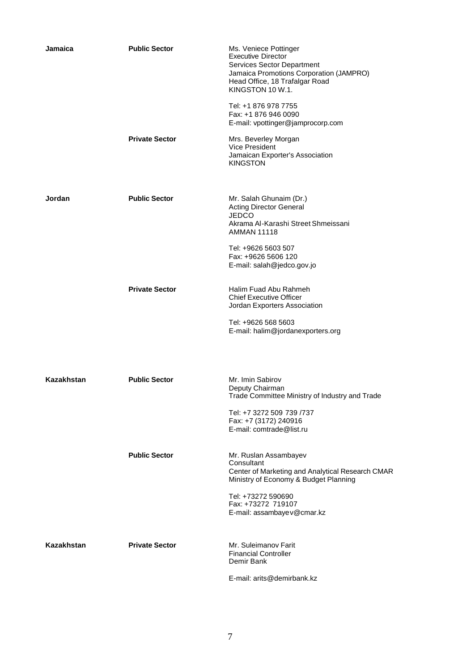| Jamaica           | <b>Public Sector</b>  | Ms. Veniece Pottinger<br><b>Executive Director</b><br><b>Services Sector Department</b><br>Jamaica Promotions Corporation (JAMPRO)<br>Head Office, 18 Trafalgar Road<br>KINGSTON 10 W.1.                           |
|-------------------|-----------------------|--------------------------------------------------------------------------------------------------------------------------------------------------------------------------------------------------------------------|
|                   |                       | Tel: +1 876 978 7755<br>Fax: +1 876 946 0090<br>E-mail: vpottinger@jamprocorp.com                                                                                                                                  |
|                   | <b>Private Sector</b> | Mrs. Beverley Morgan<br>Vice President<br>Jamaican Exporter's Association<br><b>KINGSTON</b>                                                                                                                       |
| Jordan            | <b>Public Sector</b>  | Mr. Salah Ghunaim (Dr.)<br><b>Acting Director General</b><br><b>JEDCO</b><br>Akrama Al-Karashi Street Shmeissani<br><b>AMMAN 11118</b><br>Tel: +9626 5603 507<br>Fax: +9626 5606 120<br>E-mail: salah@jedco.gov.jo |
|                   | <b>Private Sector</b> | Halim Fuad Abu Rahmeh<br><b>Chief Executive Officer</b><br>Jordan Exporters Association<br>Tel: +9626 568 5603<br>E-mail: halim@jordanexporters.org                                                                |
| <b>Kazakhstan</b> | <b>Public Sector</b>  | Mr. Imin Sabirov<br>Deputy Chairman<br>Trade Committee Ministry of Industry and Trade<br>Tel: +7 3272 509 739 /737<br>Fax: +7 (3172) 240916<br>E-mail: comtrade@list.ru                                            |
|                   | <b>Public Sector</b>  | Mr. Ruslan Assambayev<br>Consultant<br>Center of Marketing and Analytical Research CMAR<br>Ministry of Economy & Budget Planning<br>Tel: +73272 590690<br>Fax: +73272 719107<br>E-mail: assambayev@cmar.kz         |
| Kazakhstan        | <b>Private Sector</b> | Mr. Suleimanov Farit<br><b>Financial Controller</b><br>Demir Bank<br>E-mail: arits@demirbank.kz                                                                                                                    |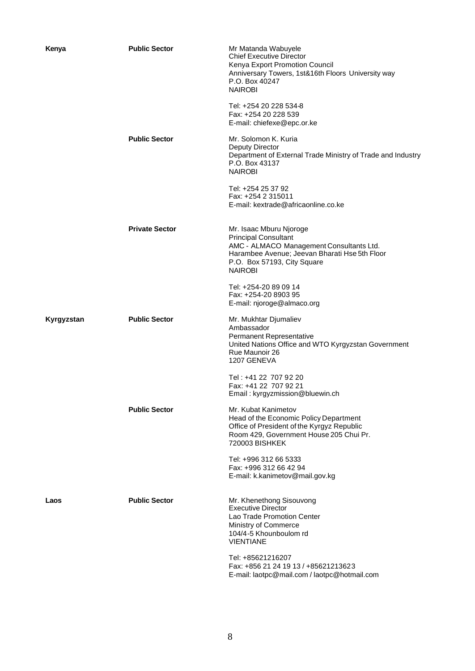| Kenya      | <b>Public Sector</b>  | Mr Matanda Wabuyele<br><b>Chief Executive Director</b><br>Kenya Export Promotion Council<br>Anniversary Towers, 1st&16th Floors University way<br>P.O. Box 40247<br><b>NAIROBI</b><br>Tel: +254 20 228 534-8<br>Fax: +254 20 228 539<br>E-mail: chiefexe@epc.or.ke |
|------------|-----------------------|--------------------------------------------------------------------------------------------------------------------------------------------------------------------------------------------------------------------------------------------------------------------|
|            | <b>Public Sector</b>  | Mr. Solomon K. Kuria<br><b>Deputy Director</b><br>Department of External Trade Ministry of Trade and Industry<br>P.O. Box 43137<br><b>NAIROBI</b>                                                                                                                  |
|            |                       | Tel: +254 25 37 92<br>Fax: +254 2 315011<br>E-mail: kextrade@africaonline.co.ke                                                                                                                                                                                    |
|            | <b>Private Sector</b> | Mr. Isaac Mburu Njoroge<br><b>Principal Consultant</b><br>AMC - ALMACO Management Consultants Ltd.<br>Harambee Avenue; Jeevan Bharati Hse 5th Floor<br>P.O. Box 57193, City Square<br><b>NAIROBI</b>                                                               |
|            |                       | Tel: +254-20 89 09 14<br>Fax: +254-20 8903 95<br>E-mail: njoroge@almaco.org                                                                                                                                                                                        |
| Kyrgyzstan | <b>Public Sector</b>  | Mr. Mukhtar Djumaliev<br>Ambassador<br>Permanent Representative<br>United Nations Office and WTO Kyrgyzstan Government<br>Rue Maunoir 26<br>1207 GENEVA                                                                                                            |
|            |                       | Tel: +41 22 707 92 20<br>Fax: +41 22 707 92 21<br>Email: kyrgyzmission@bluewin.ch                                                                                                                                                                                  |
|            | <b>Public Sector</b>  | Mr. Kubat Kanimetov<br>Head of the Economic Policy Department<br>Office of President of the Kyrgyz Republic<br>Room 429, Government House 205 Chui Pr.<br>720003 BISHKEK                                                                                           |
|            |                       | Tel: +996 312 66 5333<br>Fax: +996 312 66 42 94<br>E-mail: k.kanimetov@mail.gov.kg                                                                                                                                                                                 |
| Laos       | <b>Public Sector</b>  | Mr. Khenethong Sisouvong<br><b>Executive Director</b><br>Lao Trade Promotion Center<br>Ministry of Commerce<br>104/4-5 Khounboulom rd<br><b>VIENTIANE</b>                                                                                                          |
|            |                       | Tel: +85621216207<br>Fax: +856 21 24 19 13 / +85621213623<br>E-mail: laotpc@mail.com / laotpc@hotmail.com                                                                                                                                                          |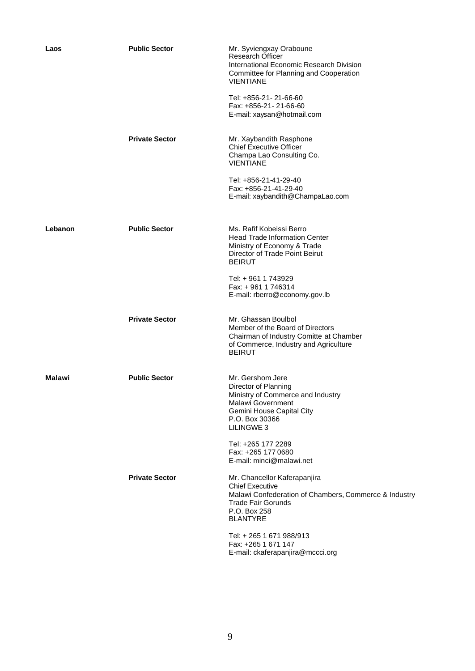| Laos    | <b>Public Sector</b>  | Mr. Syviengxay Oraboune<br><b>Research Officer</b><br>International Economic Research Division<br>Committee for Planning and Cooperation<br><b>VIENTIANE</b><br>Tel: +856-21-21-66-60<br>Fax: +856-21-21-66-60<br>E-mail: xaysan@hotmail.com |
|---------|-----------------------|----------------------------------------------------------------------------------------------------------------------------------------------------------------------------------------------------------------------------------------------|
|         | <b>Private Sector</b> | Mr. Xaybandith Rasphone<br><b>Chief Executive Officer</b><br>Champa Lao Consulting Co.<br><b>VIENTIANE</b><br>Tel: +856-21-41-29-40<br>Fax: +856-21-41-29-40                                                                                 |
|         |                       | E-mail: xaybandith@ChampaLao.com                                                                                                                                                                                                             |
| Lebanon | <b>Public Sector</b>  | Ms. Rafif Kobeissi Berro<br><b>Head Trade Information Center</b><br>Ministry of Economy & Trade<br>Director of Trade Point Beirut<br><b>BEIRUT</b>                                                                                           |
|         |                       | Tel: +961 1743929<br>Fax: +961 1746314<br>E-mail: rberro@economy.gov.lb                                                                                                                                                                      |
|         | <b>Private Sector</b> | Mr. Ghassan Boulbol<br>Member of the Board of Directors<br>Chairman of Industry Comitte at Chamber<br>of Commerce, Industry and Agriculture<br><b>BEIRUT</b>                                                                                 |
| Malawi  | <b>Public Sector</b>  | Mr. Gershom Jere<br>Director of Planning<br>Ministry of Commerce and Industry<br><b>Malawi Government</b><br>Gemini House Capital City<br>P.O. Box 30366<br>LILINGWE 3                                                                       |
|         |                       | Tel: +265 177 2289<br>Fax: +265 177 0680<br>E-mail: minci@malawi.net                                                                                                                                                                         |
|         | <b>Private Sector</b> | Mr. Chancellor Kaferapanjira<br><b>Chief Executive</b><br>Malawi Confederation of Chambers, Commerce & Industry<br>Trade Fair Gorunds<br>P.O. Box 258<br><b>BLANTYRE</b>                                                                     |
|         |                       | Tel: + 265 1 671 988/913<br>Fax: +265 1 671 147<br>E-mail: ckaferapanjira@mccci.org                                                                                                                                                          |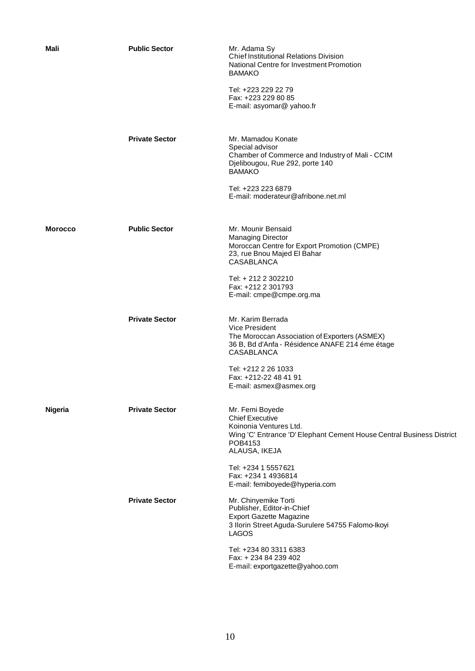| Mali           | <b>Public Sector</b>  | Mr. Adama Sy<br><b>Chief Institutional Relations Division</b><br>National Centre for Investment Promotion<br><b>BAMAKO</b><br>Tel: +223 229 22 79<br>Fax: +223 229 80 85<br>E-mail: asyomar@ yahoo.fr                                          |
|----------------|-----------------------|------------------------------------------------------------------------------------------------------------------------------------------------------------------------------------------------------------------------------------------------|
|                | <b>Private Sector</b> | Mr. Mamadou Konate<br>Special advisor<br>Chamber of Commerce and Industry of Mali - CCIM<br>Djelibougou, Rue 292, porte 140<br><b>BAMAKO</b><br>Tel: +223 223 6879<br>E-mail: moderateur@afribone.net.ml                                       |
|                |                       |                                                                                                                                                                                                                                                |
| <b>Morocco</b> | <b>Public Sector</b>  | Mr. Mounir Bensaid<br><b>Managing Director</b><br>Moroccan Centre for Export Promotion (CMPE)<br>23, rue Bnou Majed El Bahar<br>CASABLANCA                                                                                                     |
|                |                       | Tel: + 212 2 302210<br>Fax: +212 2 301793<br>E-mail: cmpe@cmpe.org.ma                                                                                                                                                                          |
|                | <b>Private Sector</b> | Mr. Karim Berrada<br><b>Vice President</b><br>The Moroccan Association of Exporters (ASMEX)<br>36 B, Bd d'Anfa - Résidence ANAFE 214 éme étage<br><b>CASABLANCA</b><br>Tel: +212 2 26 1033<br>Fax: +212-22 48 41 91<br>E-mail: asmex@asmex.org |
| Nigeria        | <b>Private Sector</b> | Mr. Femi Boyede<br><b>Chief Executive</b><br>Koinonia Ventures Ltd.<br>Wing 'C' Entrance 'D' Elephant Cement House Central Business District<br>POB4153<br>ALAUSA, IKEJA                                                                       |
|                |                       | Tel: +234 1 5557 621<br>Fax: +234 1 4936814<br>E-mail: femiboyede@hyperia.com                                                                                                                                                                  |
|                | <b>Private Sector</b> | Mr. Chinyemike Torti<br>Publisher, Editor-in-Chief<br><b>Export Gazette Magazine</b><br>3 Ilorin Street Aguda-Surulere 54755 Falomo-Ikoyi<br><b>LAGOS</b>                                                                                      |
|                |                       | Tel: +234 80 3311 6383<br>Fax: +234 84 239 402<br>E-mail: exportgazette@yahoo.com                                                                                                                                                              |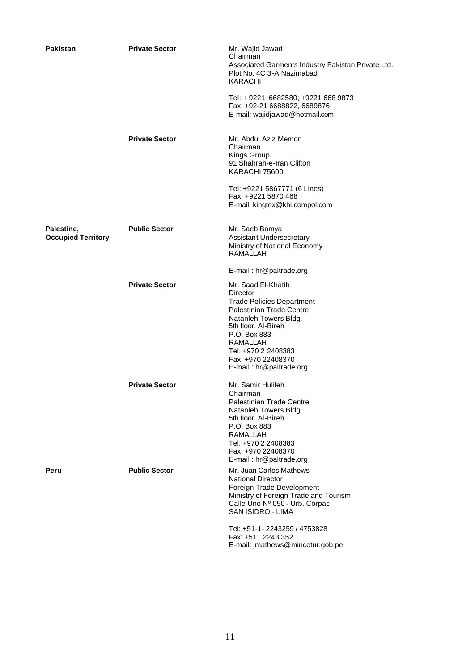| Pakistan                                | <b>Private Sector</b> | Mr. Wajid Jawad<br>Chairman<br>Associated Garments Industry Pakistan Private Ltd.<br>Plot No. 4C 3-A Nazimabad<br><b>KARACHI</b><br>Tel: +9221 6682580; +9221 668 9873<br>Fax: +92-21 6688822, 6689876<br>E-mail: wajidjawad@hotmail.com                  |
|-----------------------------------------|-----------------------|-----------------------------------------------------------------------------------------------------------------------------------------------------------------------------------------------------------------------------------------------------------|
|                                         | <b>Private Sector</b> | Mr. Abdul Aziz Memon<br>Chairman<br>Kings Group<br>91 Shahrah-e-Iran Clifton<br>KARACHI 75600<br>Tel: +9221 5867771 (6 Lines)<br>Fax: +9221 5870 468<br>E-mail: kingtex@khi.compol.com                                                                    |
| Palestine,<br><b>Occupied Territory</b> | <b>Public Sector</b>  | Mr. Saeb Bamya<br>Assistant Undersecretary<br>Ministry of National Economy<br>RAMALLAH<br>E-mail: hr@paltrade.org                                                                                                                                         |
|                                         | <b>Private Sector</b> | Mr. Saad El-Khatib<br>Director<br><b>Trade Policies Department</b><br><b>Palestinian Trade Centre</b><br>Natanleh Towers Bldg.<br>5th floor, Al-Bireh<br>P.O. Box 883<br>RAMALLAH<br>Tel: +970 2 2408383<br>Fax: +970 22408370<br>E-mail: hr@paltrade.org |
|                                         | <b>Private Sector</b> | Mr. Samir Hulileh<br>Chairman<br>Palestinian Trade Centre<br>Natanleh Towers Bldg.<br>5th floor, Al-Bireh<br>P.O. Box 883<br><b>RAMALLAH</b><br>Tel: +970 2 2408383<br>Fax: +970 22408370<br>E-mail: hr@paltrade.org                                      |
| Peru                                    | <b>Public Sector</b>  | Mr. Juan Carlos Mathews<br><b>National Director</b><br>Foreign Trade Development<br>Ministry of Foreign Trade and Tourism<br>Calle Uno Nº 050 - Urb. Córpac<br>SAN ISIDRO - LIMA                                                                          |
|                                         |                       | Tel: +51-1-2243259 / 4753828<br>Fax: +511 2243 352<br>E-mail: jmathews@mincetur.gob.pe                                                                                                                                                                    |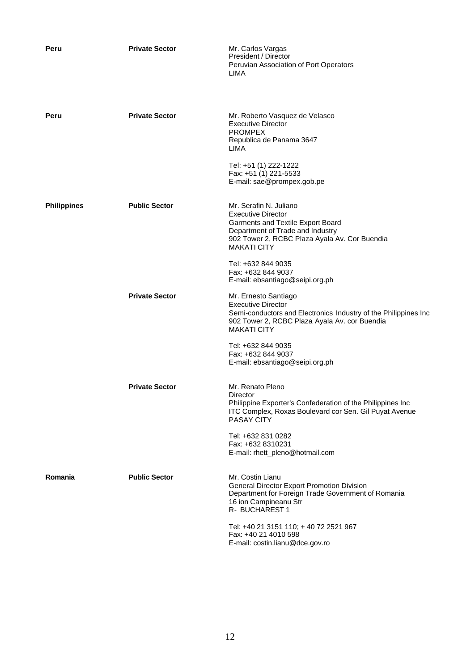| Peru               | <b>Private Sector</b> | Mr. Carlos Vargas<br>President / Director<br>Peruvian Association of Port Operators<br>LIMA                                                                                                         |
|--------------------|-----------------------|-----------------------------------------------------------------------------------------------------------------------------------------------------------------------------------------------------|
| Peru               | <b>Private Sector</b> | Mr. Roberto Vasquez de Velasco<br><b>Executive Director</b><br><b>PROMPEX</b><br>Republica de Panama 3647<br>LIMA                                                                                   |
|                    |                       | Tel: +51 (1) 222-1222<br>Fax: +51 (1) 221-5533<br>E-mail: sae@prompex.gob.pe                                                                                                                        |
| <b>Philippines</b> | <b>Public Sector</b>  | Mr. Serafin N. Juliano<br><b>Executive Director</b><br>Garments and Textile Export Board<br>Department of Trade and Industry<br>902 Tower 2, RCBC Plaza Ayala Av. Cor Buendia<br><b>MAKATI CITY</b> |
|                    |                       | Tel: +632 844 9035<br>Fax: +632 844 9037<br>E-mail: ebsantiago@seipi.org.ph                                                                                                                         |
|                    | <b>Private Sector</b> | Mr. Ernesto Santiago<br><b>Executive Director</b><br>Semi-conductors and Electronics Industry of the Philippines Inc<br>902 Tower 2, RCBC Plaza Ayala Av. cor Buendia<br><b>MAKATI CITY</b>         |
|                    |                       | Tel: +632 844 9035<br>Fax: +632 844 9037<br>E-mail: ebsantiago@seipi.org.ph                                                                                                                         |
|                    | <b>Private Sector</b> | Mr. Renato Pleno<br>Director<br>Philippine Exporter's Confederation of the Philippines Inc<br>ITC Complex, Roxas Boulevard cor Sen. Gil Puyat Avenue<br>PASAY CITY                                  |
|                    |                       | Tel: +632 831 0282<br>Fax: +632 8310231<br>E-mail: rhett_pleno@hotmail.com                                                                                                                          |
| Romania            | <b>Public Sector</b>  | Mr. Costin Lianu<br><b>General Director Export Promotion Division</b><br>Department for Foreign Trade Government of Romania<br>16 ion Campineanu Str<br>R- BUCHAREST 1                              |
|                    |                       | Tel: +40 21 3151 110; +40 72 2521 967<br>Fax: +40 21 4010 598<br>E-mail: costin.lianu@dce.gov.ro                                                                                                    |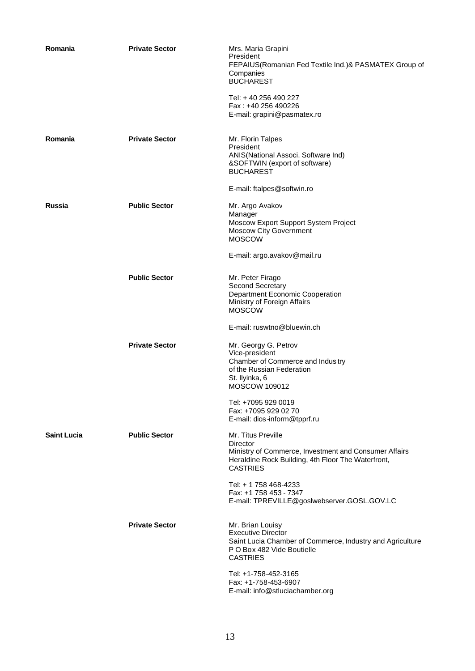| Romania            | <b>Private Sector</b> | Mrs. Maria Grapini<br>President<br>FEPAIUS(Romanian Fed Textile Ind.)& PASMATEX Group of<br>Companies<br><b>BUCHAREST</b><br>Tel: +40 256 490 227<br>Fax: +40 256 490226<br>E-mail: grapini@pasmatex.ro |
|--------------------|-----------------------|---------------------------------------------------------------------------------------------------------------------------------------------------------------------------------------------------------|
| Romania            | <b>Private Sector</b> | Mr. Florin Talpes<br>President<br>ANIS(National Associ. Software Ind)<br>&SOFTWIN (export of software)<br><b>BUCHAREST</b>                                                                              |
|                    |                       | E-mail: ftalpes@softwin.ro                                                                                                                                                                              |
| Russia             | <b>Public Sector</b>  | Mr. Argo Avakov<br>Manager<br>Moscow Export Support System Project<br><b>Moscow City Government</b><br><b>MOSCOW</b>                                                                                    |
|                    |                       | E-mail: argo.avakov@mail.ru                                                                                                                                                                             |
|                    | <b>Public Sector</b>  | Mr. Peter Firago<br>Second Secretary<br>Department Economic Cooperation<br>Ministry of Foreign Affairs<br><b>MOSCOW</b>                                                                                 |
|                    |                       | E-mail: ruswtno@bluewin.ch                                                                                                                                                                              |
|                    | <b>Private Sector</b> | Mr. Georgy G. Petrov<br>Vice-president<br>Chamber of Commerce and Industry<br>of the Russian Federation<br>St. Ilyinka, 6<br><b>MOSCOW 109012</b>                                                       |
|                    |                       | Tel: +7095 929 0019<br>Fax: +7095 929 02 70<br>E-mail: dios-inform@tpprf.ru                                                                                                                             |
| <b>Saint Lucia</b> | <b>Public Sector</b>  | Mr. Titus Preville<br>Director<br>Ministry of Commerce, Investment and Consumer Affairs<br>Heraldine Rock Building, 4th Floor The Waterfront,<br><b>CASTRIES</b>                                        |
|                    |                       | Tel: + 1 758 468-4233<br>Fax: +1 758 453 - 7347<br>E-mail: TPREVILLE@goslwebserver.GOSL.GOV.LC                                                                                                          |
|                    | <b>Private Sector</b> | Mr. Brian Louisy<br><b>Executive Director</b><br>Saint Lucia Chamber of Commerce, Industry and Agriculture<br>P O Box 482 Vide Boutielle<br><b>CASTRIES</b>                                             |
|                    |                       | Tel: +1-758-452-3165<br>Fax: +1-758-453-6907<br>E-mail: info@stluciachamber.org                                                                                                                         |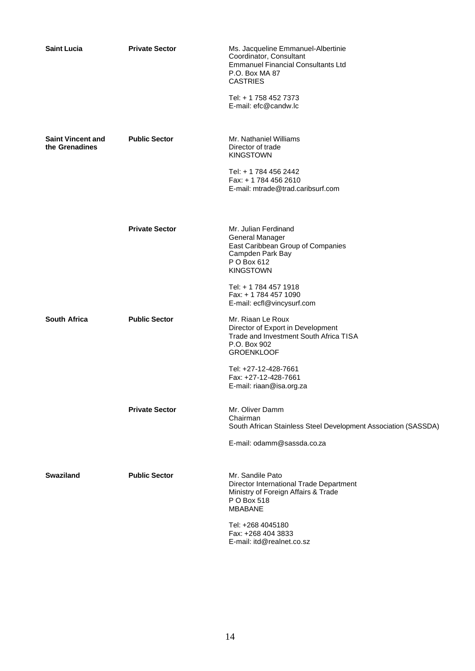| <b>Saint Lucia</b>                         | <b>Private Sector</b> | Ms. Jacqueline Emmanuel-Albertinie<br>Coordinator, Consultant<br><b>Emmanuel Financial Consultants Ltd</b><br>P.O. Box MA 87<br><b>CASTRIES</b><br>Tel: + 1 758 452 7373<br>E-mail: efc@candw.lc                                                |
|--------------------------------------------|-----------------------|-------------------------------------------------------------------------------------------------------------------------------------------------------------------------------------------------------------------------------------------------|
| <b>Saint Vincent and</b><br>the Grenadines | <b>Public Sector</b>  | Mr. Nathaniel Williams<br>Director of trade<br><b>KINGSTOWN</b><br>Tel: + 1 784 456 2442<br>Fax: + 1 784 456 2610<br>E-mail: mtrade@trad.caribsurf.com                                                                                          |
|                                            | <b>Private Sector</b> | Mr. Julian Ferdinand<br><b>General Manager</b><br>East Caribbean Group of Companies<br>Campden Park Bay<br>P O Box 612<br><b>KINGSTOWN</b><br>Tel: + 1 784 457 1918<br>Fax: + 1 784 457 1090                                                    |
| <b>South Africa</b>                        | <b>Public Sector</b>  | E-mail: ecfl@vincysurf.com<br>Mr. Riaan Le Roux<br>Director of Export in Development<br>Trade and Investment South Africa TISA<br>P.O. Box 902<br><b>GROENKLOOF</b><br>Tel: +27-12-428-7661<br>Fax: +27-12-428-7661<br>E-mail: riaan@isa.org.za |
|                                            | <b>Private Sector</b> | Mr. Oliver Damm<br>Chairman<br>South African Stainless Steel Development Association (SASSDA)<br>E-mail: odamm@sassda.co.za                                                                                                                     |
| <b>Swaziland</b>                           | <b>Public Sector</b>  | Mr. Sandile Pato<br>Director International Trade Department<br>Ministry of Foreign Affairs & Trade<br>P O Box 518<br><b>MBABANE</b><br>Tel: +268 4045180<br>Fax: +268 404 3833<br>E-mail: itd@realnet.co.sz                                     |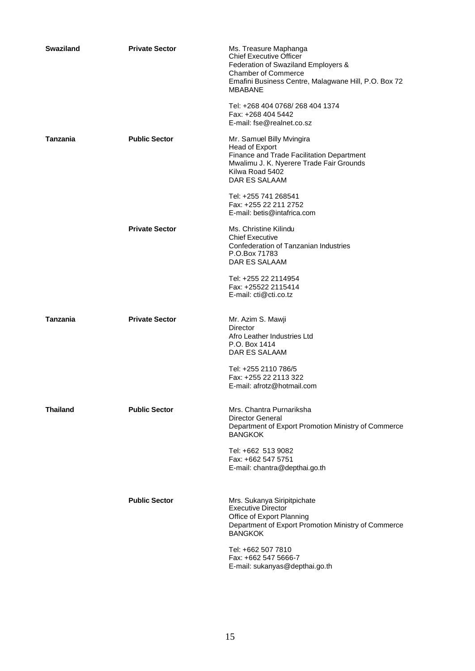| <b>Swaziland</b> | <b>Private Sector</b> | Ms. Treasure Maphanga<br><b>Chief Executive Officer</b><br>Federation of Swaziland Employers &<br><b>Chamber of Commerce</b><br>Emafini Business Centre, Malagwane Hill, P.O. Box 72<br><b>MBABANE</b> |
|------------------|-----------------------|--------------------------------------------------------------------------------------------------------------------------------------------------------------------------------------------------------|
|                  |                       | Tel: +268 404 0768/268 404 1374<br>Fax: +268 404 5442<br>E-mail: fse@realnet.co.sz                                                                                                                     |
| Tanzania         | <b>Public Sector</b>  | Mr. Samuel Billy Mvingira<br>Head of Export<br>Finance and Trade Facilitation Department<br>Mwalimu J. K. Nyerere Trade Fair Grounds<br>Kilwa Road 5402<br>DAR ES SALAAM                               |
|                  |                       | Tel: +255 741 268541<br>Fax: +255 22 211 2752<br>E-mail: betis@intafrica.com                                                                                                                           |
|                  | <b>Private Sector</b> | Ms. Christine Kilindu<br><b>Chief Executive</b><br>Confederation of Tanzanian Industries<br>P.O.Box 71783<br>DAR ES SALAAM                                                                             |
|                  |                       | Tel: +255 22 2114954<br>Fax: +25522 2115414<br>E-mail: cti@cti.co.tz                                                                                                                                   |
| Tanzania         | <b>Private Sector</b> | Mr. Azim S. Mawji<br>Director<br>Afro Leather Industries Ltd<br>P.O. Box 1414<br>DAR ES SALAAM                                                                                                         |
|                  |                       | Tel: +255 2110 786/5<br>Fax: +255 22 2113 322<br>E-mail: afrotz@hotmail.com                                                                                                                            |
| <b>Thailand</b>  | <b>Public Sector</b>  | Mrs. Chantra Purnariksha<br><b>Director General</b><br>Department of Export Promotion Ministry of Commerce<br><b>BANGKOK</b>                                                                           |
|                  |                       | Tel: +662 513 9082<br>Fax: +662 547 5751<br>E-mail: chantra@depthai.go.th                                                                                                                              |
|                  | <b>Public Sector</b>  | Mrs. Sukanya Siripitpichate<br><b>Executive Director</b><br>Office of Export Planning<br>Department of Export Promotion Ministry of Commerce<br><b>BANGKOK</b>                                         |
|                  |                       | Tel: +662 507 7810<br>Fax: +662 547 5666-7<br>E-mail: sukanyas@depthai.go.th                                                                                                                           |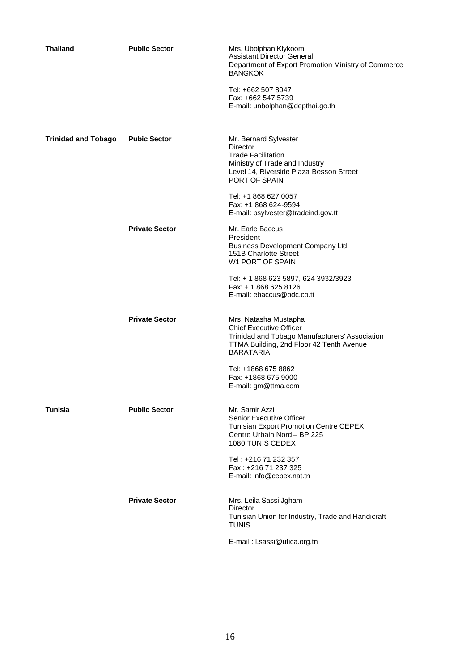| <b>Thailand</b>            | <b>Public Sector</b>  | Mrs. Ubolphan Klykoom<br><b>Assistant Director General</b><br>Department of Export Promotion Ministry of Commerce<br><b>BANGKOK</b>                                       |
|----------------------------|-----------------------|---------------------------------------------------------------------------------------------------------------------------------------------------------------------------|
|                            |                       | Tel: +662 507 8047<br>Fax: +662 547 5739<br>E-mail: unbolphan@depthai.go.th                                                                                               |
| <b>Trinidad and Tobago</b> | <b>Pubic Sector</b>   | Mr. Bernard Sylvester<br>Director<br><b>Trade Facilitation</b><br>Ministry of Trade and Industry<br>Level 14, Riverside Plaza Besson Street<br>PORT OF SPAIN              |
|                            |                       | Tel: +1 868 627 0057<br>Fax: +1 868 624-9594<br>E-mail: bsylvester@tradeind.gov.tt                                                                                        |
|                            | <b>Private Sector</b> | Mr. Earle Baccus<br>President<br><b>Business Development Company Ltd</b><br>151B Charlotte Street<br>W1 PORT OF SPAIN                                                     |
|                            |                       | Tel: + 1 868 623 5897, 624 3932/3923<br>Fax: + 1 868 625 8126<br>E-mail: ebaccus@bdc.co.tt                                                                                |
|                            | <b>Private Sector</b> | Mrs. Natasha Mustapha<br><b>Chief Executive Officer</b><br>Trinidad and Tobago Manufacturers' Association<br>TTMA Building, 2nd Floor 42 Tenth Avenue<br><b>BARATARIA</b> |
|                            |                       | Tel: +1868 675 8862<br>Fax: +1868 675 9000<br>E-mail: gm@ttma.com                                                                                                         |
| <b>Tunisia</b>             | <b>Public Sector</b>  | Mr. Samir Azzi<br>Senior Executive Officer<br>Tunisian Export Promotion Centre CEPEX<br>Centre Urbain Nord - BP 225<br>1080 TUNIS CEDEX                                   |
|                            |                       | Tel: +216 71 232 357<br>Fax: +216 71 237 325<br>E-mail: info@cepex.nat.tn                                                                                                 |
|                            | <b>Private Sector</b> | Mrs. Leila Sassi Jgham<br>Director<br>Tunisian Union for Industry, Trade and Handicraft<br><b>TUNIS</b>                                                                   |
|                            |                       | E-mail: I.sassi@utica.org.tn                                                                                                                                              |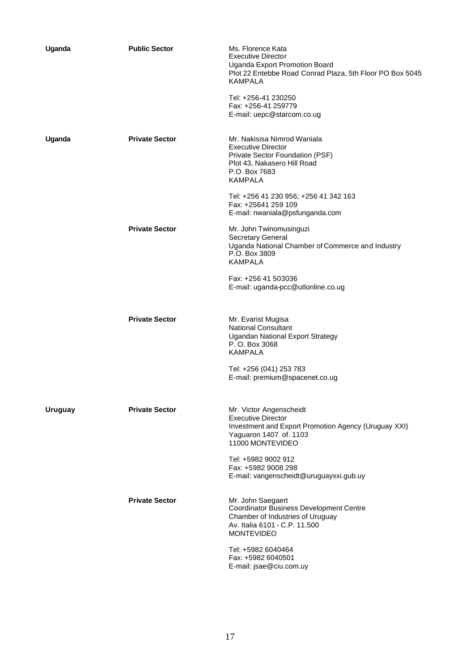| Uganda         | <b>Public Sector</b>  | Ms. Florence Kata<br>Executive Director<br>Uganda Export Promotion Board<br>Plot 22 Entebbe Road Conrad Plaza, 5th Floor PO Box 5045<br><b>KAMPALA</b><br>Tel: +256-41 230250<br>Fax: +256-41 259779<br>E-mail: uepc@starcom.co.ug |
|----------------|-----------------------|------------------------------------------------------------------------------------------------------------------------------------------------------------------------------------------------------------------------------------|
| Uganda         | <b>Private Sector</b> | Mr. Nakisisa Nimrod Waniala<br><b>Executive Director</b><br>Private Sector Foundation (PSF)<br>Plot 43, Nakasero Hill Road<br>P.O. Box 7683<br><b>KAMPALA</b>                                                                      |
|                |                       | Tel: +256 41 230 956; +256 41 342 163<br>Fax: +25641 259 109<br>E-mail: nwaniala@psfunganda.com                                                                                                                                    |
|                | <b>Private Sector</b> | Mr. John Twinomusinguzi<br><b>Secretary General</b><br>Uganda National Chamber of Commerce and Industry<br>P.O. Box 3809<br><b>KAMPALA</b>                                                                                         |
|                |                       | Fax: +256 41 503036<br>E-mail: uganda-pcc@utlonline.co.ug                                                                                                                                                                          |
|                | <b>Private Sector</b> | Mr. Evarist Mugisa<br><b>National Consultant</b><br><b>Ugandan National Export Strategy</b><br>P. O. Box 3068<br><b>KAMPALA</b>                                                                                                    |
|                |                       | Tel: +256 (041) 253 783<br>E-mail: premium@spacenet.co.ug                                                                                                                                                                          |
| <b>Uruguay</b> | <b>Private Sector</b> | Mr. Victor Angenscheidt<br><b>Executive Director</b><br>Investment and Export Promotion Agency (Uruguay XXI)<br>Yaguaron 1407 of .1103<br>11000 MONTEVIDEO                                                                         |
|                |                       | Tel: +5982 9002 912<br>Fax: +5982 9008 298<br>E-mail: vangenscheidt@uruguayxxi.gub.uy                                                                                                                                              |
|                | <b>Private Sector</b> | Mr. John Saegaert<br>Coordinator Business Development Centre<br>Chamber of Industries of Uruguay<br>Av. Italia 6101 - C.P. 11.500<br><b>MONTEVIDEO</b>                                                                             |
|                |                       | Tel: +5982 6040464<br>Fax: +5982 6040501<br>E-mail: jsae@ciu.com.uy                                                                                                                                                                |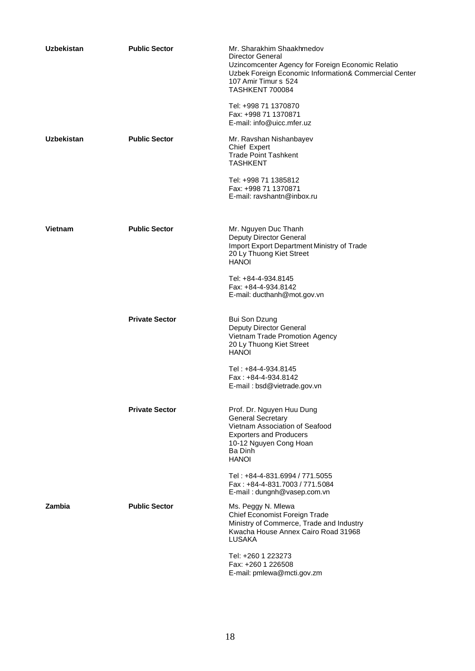| <b>Uzbekistan</b> | <b>Public Sector</b>  | Mr. Sharakhim Shaakhmedov<br><b>Director General</b><br>Uzincomcenter Agency for Foreign Economic Relatio<br>Uzbek Foreign Economic Information& Commercial Center<br>107 Amir Timur s 524<br><b>TASHKENT 700084</b> |
|-------------------|-----------------------|----------------------------------------------------------------------------------------------------------------------------------------------------------------------------------------------------------------------|
|                   |                       | Tel: +998 71 1370870<br>Fax: +998 71 1370871<br>E-mail: info@uicc.mfer.uz                                                                                                                                            |
| <b>Uzbekistan</b> | <b>Public Sector</b>  | Mr. Ravshan Nishanbayev<br>Chief Expert<br><b>Trade Point Tashkent</b><br><b>TASHKENT</b>                                                                                                                            |
|                   |                       | Tel: +998 71 1385812<br>Fax: +998 71 1370871<br>E-mail: ravshantn@inbox.ru                                                                                                                                           |
| Vietnam           | <b>Public Sector</b>  | Mr. Nguyen Duc Thanh<br><b>Deputy Director General</b><br>Import Export Department Ministry of Trade<br>20 Ly Thuong Kiet Street<br><b>HANOI</b>                                                                     |
|                   |                       | Tel: +84-4-934.8145<br>Fax: +84-4-934.8142<br>E-mail: ducthanh@mot.gov.vn                                                                                                                                            |
|                   | <b>Private Sector</b> | <b>Bui Son Dzung</b><br>Deputy Director General<br>Vietnam Trade Promotion Agency<br>20 Ly Thuong Kiet Street<br><b>HANOI</b>                                                                                        |
|                   |                       | Tel: +84-4-934.8145<br>Fax: +84-4-934.8142<br>E-mail: bsd@vietrade.gov.vn                                                                                                                                            |
|                   | <b>Private Sector</b> | Prof. Dr. Nguyen Huu Dung<br><b>General Secretary</b><br>Vietnam Association of Seafood<br><b>Exporters and Producers</b><br>10-12 Nguyen Cong Hoan<br>Ba Dinh<br><b>HANOI</b>                                       |
|                   |                       | Tel: +84-4-831.6994 / 771.5055<br>Fax: +84-4-831.7003 / 771.5084<br>E-mail: dungnh@vasep.com.vn                                                                                                                      |
| Zambia            | <b>Public Sector</b>  | Ms. Peggy N. Mlewa<br>Chief Economist Foreign Trade<br>Ministry of Commerce, Trade and Industry<br>Kwacha House Annex Cairo Road 31968<br><b>LUSAKA</b>                                                              |
|                   |                       | Tel: +260 1 223273<br>Fax: +260 1 226508<br>E-mail: pmlewa@mcti.gov.zm                                                                                                                                               |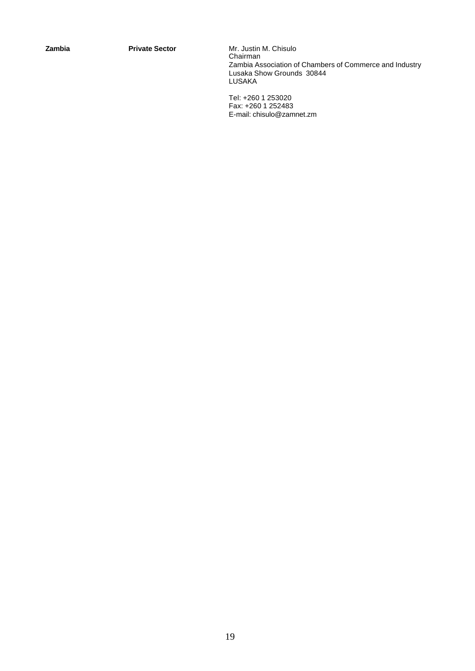**Zambia Private Sector** Mr. Justin M. Chisulo Chairman Zambia Association of Chambers of Commerce and Industry Lusaka Show Grounds 30844 LUSAKA

> Tel: +260 1 253020 Fax: +260 1 252483 E-mail: chisulo@zamnet.zm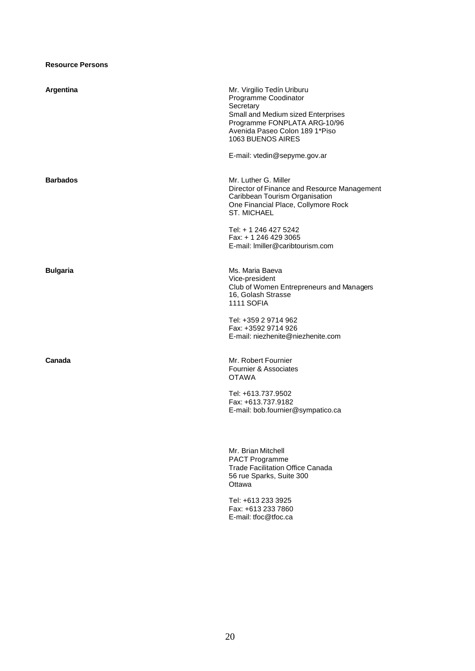## **Resource Persons**

| Argentina       | Mr. Virgilio Tedín Uriburu<br>Programme Coodinator<br>Secretary<br>Small and Medium sized Enterprises<br>Programme FONPLATA ARG-10/96<br>Avenida Paseo Colon 189 1*Piso<br>1063 BUENOS AIRES |
|-----------------|----------------------------------------------------------------------------------------------------------------------------------------------------------------------------------------------|
|                 | E-mail: vtedin@sepyme.gov.ar                                                                                                                                                                 |
| <b>Barbados</b> | Mr. Luther G. Miller<br>Director of Finance and Resource Management<br>Caribbean Tourism Organisation<br>One Financial Place, Collymore Rock<br><b>ST. MICHAEL</b>                           |
|                 | Tel: + 1 246 427 5242<br>Fax: + 1 246 429 3065<br>E-mail: Imiller@caribtourism.com                                                                                                           |
| <b>Bulgaria</b> | Ms. Maria Baeva<br>Vice-president<br>Club of Women Entrepreneurs and Managers<br>16, Golash Strasse<br><b>1111 SOFIA</b>                                                                     |
|                 | Tel: +359 2 9714 962<br>Fax: +3592 9714 926<br>E-mail: niezhenite@niezhenite.com                                                                                                             |
| Canada          | Mr. Robert Fournier<br>Fournier & Associates<br><b>OTAWA</b>                                                                                                                                 |
|                 | Tel: +613.737.9502<br>Fax: +613.737.9182<br>E-mail: bob.fournier@sympatico.ca                                                                                                                |
|                 | Mr. Brian Mitchell<br>PACT Programme<br>Trade Facilitation Office Canada<br>56 rue Sparks, Suite 300<br>Ottawa                                                                               |

Tel: +613 233 3925 Fax: +613 233 7860 E-mail: tfoc@tfoc.ca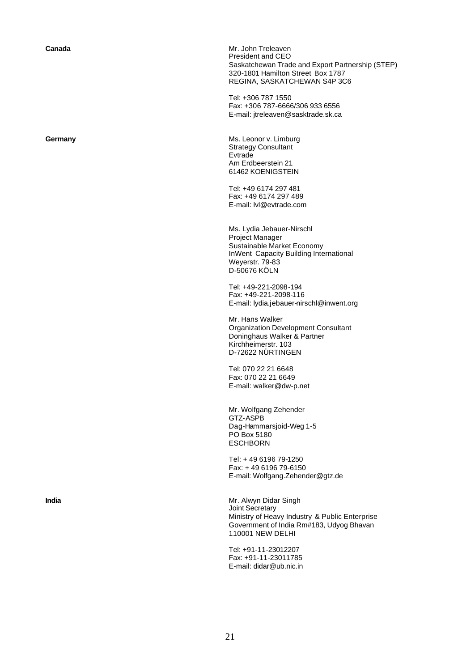**Canada** Mr. John Treleaven President and CEO Saskatchewan Trade and Export Partnership (STEP) 320-1801 Hamilton Street Box 1787 REGINA, SASKATCHEWAN S4P 3C6

> Tel: +306 787 1550 Fax: +306 787-6666/306 933 6556 E-mail: jtreleaven@sasktrade.sk.ca

**Germany Ms. Leonor v. Limburg** Strategy Consultant **E**vtrade Am Erdbeerstein 21 61462 KOENIGSTEIN

> Tel: +49 6174 297 481 Fax: +49 6174 297 489 E-mail: lvl@evtrade.com

Ms. Lydia Jebauer-Nirschl Project Manager Sustainable Market Economy InWent Capacity Building International Weyerstr. 79-83 D-50676 KÖLN

Tel: +49-221-2098-194 Fax: +49-221-2098-116 E-mail: lydia.jebauer-nirschl@inwent.org

Mr. Hans Walker Organization Development Consultant Doninghaus Walker & Partner Kirchheimerstr. 103 D-72622 NÜRTINGEN

Tel: 070 22 21 6648 Fax: 070 22 21 6649 E-mail: walker@dw-p.net

Mr. Wolfgang Zehender GTZ-ASPB Dag-Hammarsjoid-Weg 1-5 PO Box 5180 **ESCHBORN** 

Tel: + 49 6196 79-1250 Fax: + 49 6196 79-6150 E-mail: Wolfgang.Zehender@gtz.de

**India** Mr. Alwyn Didar Singh Joint Secretary Ministry of Heavy Industry & Public Enterprise Government of India Rm#183, Udyog Bhavan 110001 NEW DELHI

> Tel: +91-11-23012207 Fax: +91-11-23011785 E-mail: didar@ub.nic.in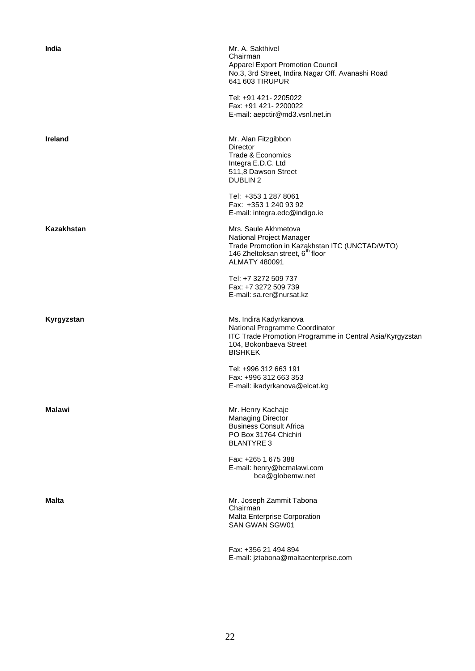| India          | Mr. A. Sakthivel<br>Chairman<br><b>Apparel Export Promotion Council</b><br>No.3, 3rd Street, Indira Nagar Off. Avanashi Road<br>641 603 TIRUPUR                            |
|----------------|----------------------------------------------------------------------------------------------------------------------------------------------------------------------------|
|                | Tel: +91 421- 2205022<br>Fax: +91 421-2200022<br>E-mail: aepctir@md3.vsnl.net.in                                                                                           |
| <b>Ireland</b> | Mr. Alan Fitzgibbon<br><b>Director</b><br>Trade & Economics<br>Integra E.D.C. Ltd<br>511,8 Dawson Street<br><b>DUBLIN2</b>                                                 |
|                | Tel: +353 1 287 8061<br>Fax: +353 1 240 93 92<br>E-mail: integra.edc@indigo.ie                                                                                             |
| Kazakhstan     | Mrs. Saule Akhmetova<br>National Project Manager<br>Trade Promotion in Kazakhstan ITC (UNCTAD/WTO)<br>146 Zheltoksan street, 6 <sup>th</sup> floor<br><b>ALMATY 480091</b> |
|                | Tel: +7 3272 509 737<br>Fax: +7 3272 509 739<br>E-mail: sa.rer@nursat.kz                                                                                                   |
| Kyrgyzstan     | Ms. Indira Kadyrkanova<br>National Programme Coordinator<br>ITC Trade Promotion Programme in Central Asia/Kyrgyzstan<br>104, Bokonbaeva Street<br><b>BISHKEK</b>           |
|                | Tel: +996 312 663 191<br>Fax: +996 312 663 353<br>E-mail: ikadyrkanova@elcat.kg                                                                                            |
| Malawi         | Mr. Henry Kachaje<br><b>Managing Director</b><br><b>Business Consult Africa</b><br>PO Box 31764 Chichiri<br><b>BLANTYRE 3</b>                                              |
|                | Fax: +265 1 675 388<br>E-mail: henry@bcmalawi.com<br>bca@globemw.net                                                                                                       |
| Malta          | Mr. Joseph Zammit Tabona<br>Chairman<br>Malta Enterprise Corporation<br>SAN GWAN SGW01                                                                                     |
|                | Fax: +356 21 494 894<br>E-mail: jztabona@maltaenterprise.com                                                                                                               |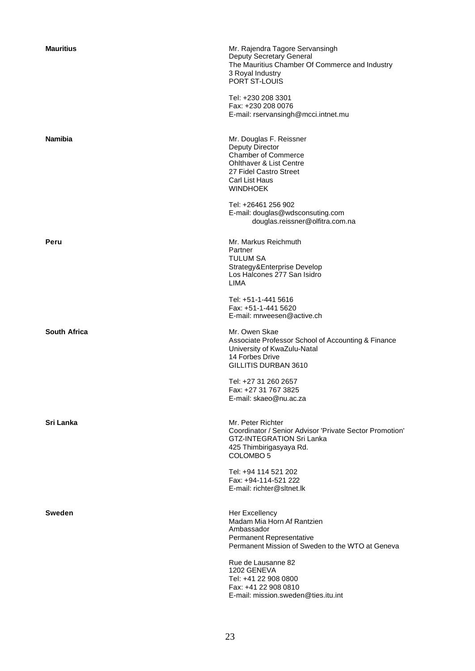| <b>Mauritius</b>    | Mr. Rajendra Tagore Servansingh<br>Deputy Secretary General<br>The Mauritius Chamber Of Commerce and Industry<br>3 Royal Industry<br><b>PORT ST-LOUIS</b>                            |
|---------------------|--------------------------------------------------------------------------------------------------------------------------------------------------------------------------------------|
|                     | Tel: +230 208 3301<br>Fax: +230 208 0076<br>E-mail: rservansingh@mcci.intnet.mu                                                                                                      |
| <b>Namibia</b>      | Mr. Douglas F. Reissner<br><b>Deputy Director</b><br><b>Chamber of Commerce</b><br><b>Ohlthaver &amp; List Centre</b><br>27 Fidel Castro Street<br>Carl List Haus<br><b>WINDHOEK</b> |
|                     | Tel: +26461 256 902<br>E-mail: douglas@wdsconsuting.com<br>douglas.reissner@olfitra.com.na                                                                                           |
| Peru                | Mr. Markus Reichmuth<br>Partner<br><b>TULUM SA</b><br>Strategy&Enterprise Develop<br>Los Halcones 277 San Isidro<br>LIMA                                                             |
|                     | Tel: +51-1-441 5616<br>Fax: +51-1-441 5620<br>E-mail: mrweesen@active.ch                                                                                                             |
| <b>South Africa</b> | Mr. Owen Skae<br>Associate Professor School of Accounting & Finance<br>University of KwaZulu-Natal<br>14 Forbes Drive<br>GILLITIS DURBAN 3610                                        |
|                     | Tel: +27 31 260 2657<br>Fax: +27 31 767 3825<br>E-mail: skaeo@nu.ac.za                                                                                                               |
| Sri Lanka           | Mr. Peter Richter<br>Coordinator / Senior Advisor 'Private Sector Promotion'<br><b>GTZ-INTEGRATION Sri Lanka</b><br>425 Thimbirigasyaya Rd.<br>COLOMBO <sub>5</sub>                  |
|                     | Tel: +94 114 521 202<br>Fax: +94-114-521 222<br>E-mail: richter@sltnet.lk                                                                                                            |
| Sweden              | Her Excellency<br>Madam Mia Horn Af Rantzien<br>Ambassador<br>Permanent Representative<br>Permanent Mission of Sweden to the WTO at Geneva                                           |
|                     | Rue de Lausanne 82<br>1202 GENEVA<br>Tel: +41 22 908 0800<br>Fax: +41 22 908 0810<br>E-mail: mission.sweden@ties.itu.int                                                             |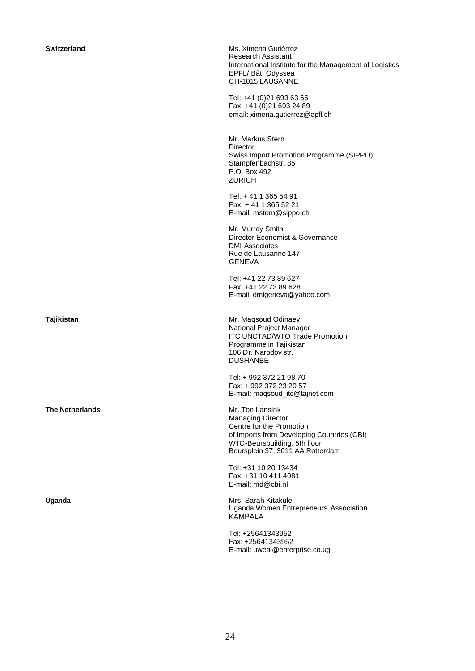**The Netherlands** Mr. Ton Lansink

**Switzerland** Ms. Ximena Gutiérrez Research Assistant International Institute for the Management of Logistics EPFL/ Bât. Odyssea CH-1015 LAUSANNE

> Tel: +41 (0)21 693 63 66 Fax: +41 (0)21 693 24 89 email: ximena.gutierrez@epfl.ch

Mr. Markus Stern **Director** Swiss Import Promotion Programme (SIPPO) Stampfenbachstr. 85 P.O. Box 492 ZURICH

Tel: + 41 1 365 54 91 Fax: + 41 1 365 52 21 E-mail: mstern@sippo.ch

Mr. Murray Smith Director Economist & Governance DMI Associates Rue de Lausanne 147 GENEVA

Tel: +41 22 73 89 627 Fax: +41 22 73 89 628 E-mail: dmigeneva@yahoo.com

**Tajikistan** Mr. Maqsoud Odinaev National Project Manager ITC UNCTAD/WTO Trade Promotion Programme in Tajikistan 106 Dr. Narodov str. DUSHANBE

> Tel: + 992 372 21 98 70 Fax: + 992 372 23 20 57 E-mail: maqsoud\_itc@tajnet.com

Managing Director Centre for the Promotion of Imports from Developing Countries (CBI) WTC-Beursbuilding, 5th floor Beursplein 37, 3011 AA Rotterdam

Tel: +31 10 20 13434 Fax: +31 10 411 4081 E-mail: md@cbi.nl

Uganda **Mrs. Sarah Kitakule** Mrs. Sarah Kitakule Uganda Women Entrepreneurs Association KAMPALA

> Tel: +25641343952 Fax: +25641343952 E-mail: uweal@enterprise.co.ug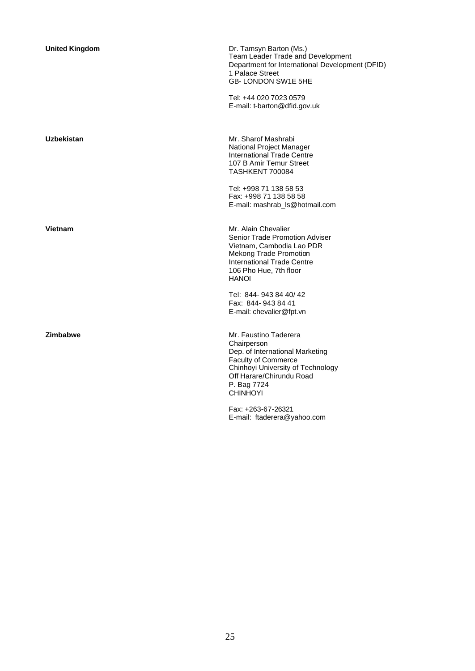| <b>United Kingdom</b> | Dr. Tamsyn Barton (Ms.)<br>Team Leader Trade and Development<br>Department for International Development (DFID)<br>1 Palace Street<br>GB-LONDON SW1E 5HE                                                 |
|-----------------------|----------------------------------------------------------------------------------------------------------------------------------------------------------------------------------------------------------|
|                       | Tel: +44 020 7023 0579<br>E-mail: t-barton@dfid.gov.uk                                                                                                                                                   |
| Uzbekistan            | Mr. Sharof Mashrabi<br>National Project Manager<br>International Trade Centre<br>107 B Amir Temur Street<br><b>TASHKENT 700084</b>                                                                       |
|                       | Tel: +998 71 138 58 53<br>Fax: +998 71 138 58 58<br>E-mail: mashrab_ls@hotmail.com                                                                                                                       |
| Vietnam               | Mr. Alain Chevalier<br><b>Senior Trade Promotion Adviser</b><br>Vietnam, Cambodia Lao PDR<br><b>Mekong Trade Promotion</b><br>International Trade Centre<br>106 Pho Hue, 7th floor<br><b>HANOI</b>       |
|                       | Tel: 844-943 84 40/42<br>Fax: 844-943 84 41<br>E-mail: chevalier@fpt.vn                                                                                                                                  |
| Zimbabwe              | Mr. Faustino Taderera<br>Chairperson<br>Dep. of International Marketing<br><b>Faculty of Commerce</b><br>Chinhoyi University of Technology<br>Off Harare/Chirundu Road<br>P. Bag 7724<br><b>CHINHOYI</b> |
|                       | Fax: +263-67-26321<br>E-mail: ftaderera@yahoo.com                                                                                                                                                        |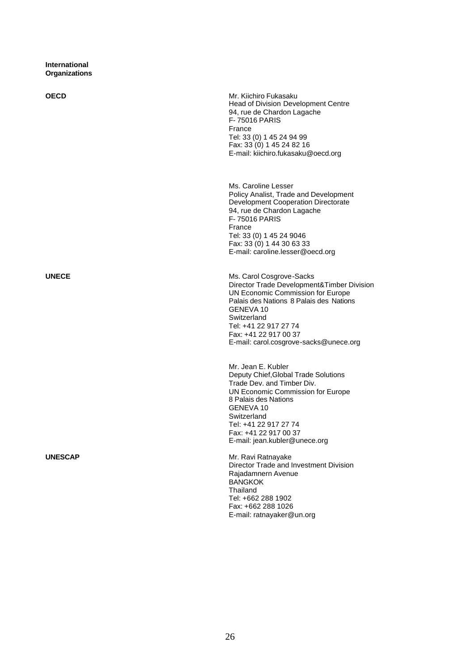**International Organizations**

**OECD** Mr. Kiichiro Fukasaku Head of Division Development Centre 94, rue de Chardon Lagache F- 75016 PARIS France Tel: 33 (0) 1 45 24 94 99 Fax: 33 (0) 1 45 24 82 16 E-mail: kiichiro.fukasaku@oecd.org Ms. Caroline Lesser Policy Analist, Trade and Development Development Cooperation Directorate 94, rue de Chardon Lagache F- 75016 PARIS France Tel: 33 (0) 1 45 24 9046 Fax: 33 (0) 1 44 30 63 33 E-mail: caroline.lesser@oecd.org **UNECE** Ms. Carol Cosgrove-Sacks Director Trade Development&Timber Division UN Economic Commission for Europe Palais des Nations 8 Palais des Nations GENEVA 10 **Switzerland** Tel: +41 22 917 27 74 Fax: +41 22 917 00 37 E-mail: carol.cosgrove-sacks@unece.org Mr. Jean E. Kubler Deputy Chief,Global Trade Solutions Trade Dev. and Timber Div. UN Economic Commission for Europe 8 Palais des Nations GENEVA 10 Switzerland Tel: +41 22 917 27 74 Fax: +41 22 917 00 37 E-mail: jean.kubler@unece.org

**UNESCAP** Mr. Ravi Ratnayake Director Trade and Investment Division Rajadamnern Avenue **BANGKOK** Thailand Tel: +662 288 1902 Fax: +662 288 1026 E-mail: ratnayaker@un.org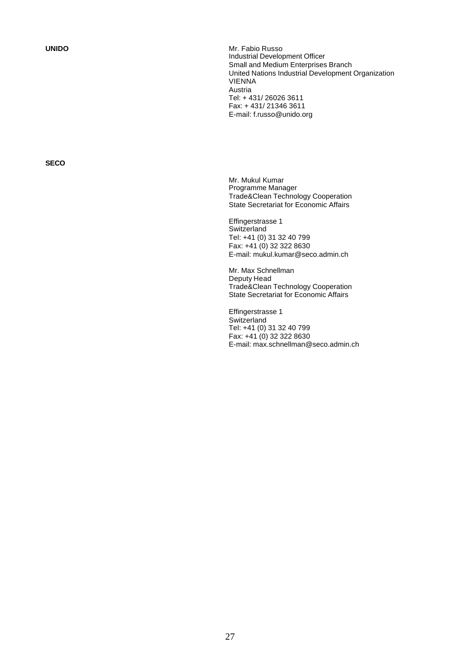**UNIDO** Mr. Fabio Russo Industrial Development Officer Small and Medium Enterprises Branch United Nations Industrial Development Organization VIENNA Austria Tel: + 431/ 26026 3611 Fax: + 431/ 21346 3611 E-mail: f.russo@unido.org

**SECO**

Mr. Mukul Kumar Programme Manager Trade&Clean Technology Cooperation State Secretariat for Economic Affairs

Effingerstrasse 1 **Switzerland** Tel: +41 (0) 31 32 40 799 Fax: +41 (0) 32 322 8630 E-mail: mukul.kumar@seco.admin.ch

Mr. Max Schnellman Deputy Head Trade&Clean Technology Cooperation State Secretariat for Economic Affairs

Effingerstrasse 1 **Switzerland** Tel: +41 (0) 31 32 40 799 Fax:  $+41(0)$  32 322 8630 E-mail: max.schnellman@seco.admin.ch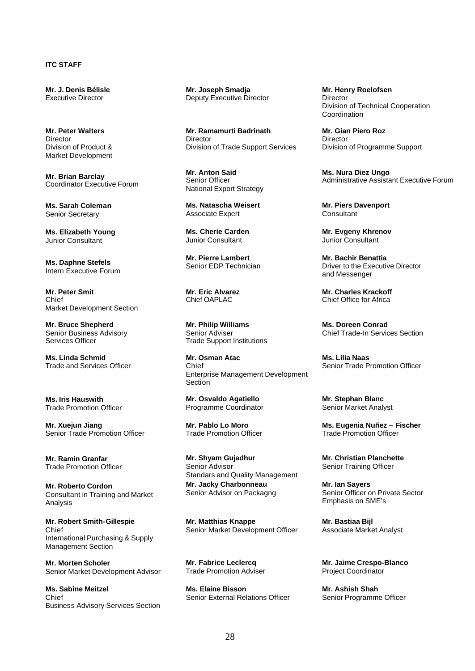## **ITC STAFF**

**Mr. J. Denis Bélisle** Executive Director

**Mr. Peter Walters Director** Division of Product & Market Development

**Mr. Brian Barclay** Coordinator Executive Forum

**Ms. Sarah Coleman** Senior Secretary

**Ms. Elizabeth Young** Junior Consultant

**Ms. Daphne Stefels** Intern Executive Forum

**Mr. Peter Smit** Chief Market Development Section

**Mr. Bruce Shepherd** Senior Business Advisory Services Officer

**Ms. Linda Schmid** Trade and Services Officer

**Ms. Iris Hauswith** Trade Promotion Officer

**Mr. Xuejun Jiang** Senior Trade Promotion Officer

**Mr. Ramin Granfar** Trade Promotion Officer

**Mr. Roberto Cordon** Consultant in Training and Market Analysis

**Mr. Robert Smith-Gillespie** Chief International Purchasing & Supply Management Section

**Mr. Morten Scholer** Senior Market Development Advisor

**Ms. Sabine Meitzel** Chief Business Advisory Services Section

**Mr. Joseph Smadja** Deputy Executive Director

**Mr. Ramamurti Badrinath Director** Division of Trade Support Services

**Mr. Anton Said** Senior Officer National Export Strategy

**Ms. Natascha Weisert** Associate Expert

**Ms. Cherie Carden** Junior Consultant

**Mr. Pierre Lambert** Senior EDP Technician

**Mr. Eric Alvarez** Chief OAPLAC

**Mr. Philip Williams** Senior Adviser Trade Support Institutions

**Mr. Osman Atac** Chief Enterprise Management Development **Section** 

**Mr. Osvaldo Agatiello** Programme Coordinator

**Mr. Pablo Lo Moro** Trade Promotion Officer

**Mr. Shyam Gujadhur** Senior Advisor Standars and Quality Management **Mr. Jacky Charbonneau** Senior Advisor on Packagng

**Mr. Matthias Knappe** Senior Market Development Officer

**Mr. Fabrice Leclercq** Trade Promotion Adviser

**Ms. Elaine Bisson** Senior External Relations Officer **Mr. Henry Roelofsen** Director Division of Technical Cooperation Coordination

**Mr. Gian Piero Roz Director** Division of Programme Support

**Ms. Nura Diez Ungo** Administrative Assistant Executive Forum

**Mr. Piers Davenport Consultant** 

**Mr. Evgeny Khrenov** Junior Consultant

**Mr. Bachir Benattia** Driver to the Executive Director and Messenger

**Mr. Charles Krackoff** Chief Office for Africa

**Ms. Doreen Conrad** Chief Trade-In Services Section

**Ms. Lilia Naas** Senior Trade Promotion Officer

**Mr. Stephan Blanc** Senior Market Analyst

**Ms. Eugenia Nuñez – Fischer** Trade Promotion Officer

**Mr. Christian Planchette** Senior Training Officer

**Mr. Ian Sayers** Senior Officer on Private Sector Emphasis on SME's

**Mr. Bastiaa Bijl** Associate Market Analyst

**Mr. Jaime Crespo-Blanco** Project Coordinator

**Mr. Ashish Shah** Senior Programme Officer